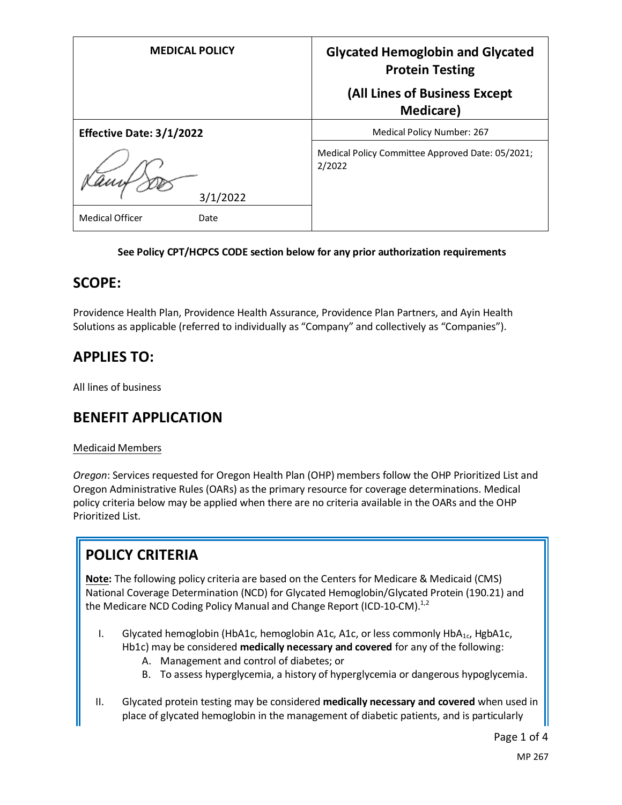| <b>MEDICAL POLICY</b>          | <b>Glycated Hemoglobin and Glycated</b><br><b>Protein Testing</b> |
|--------------------------------|-------------------------------------------------------------------|
|                                | (All Lines of Business Except<br><b>Medicare</b> )                |
| Effective Date: 3/1/2022       | Medical Policy Number: 267                                        |
| 3/1/2022                       | Medical Policy Committee Approved Date: 05/2021;<br>2/2022        |
| <b>Medical Officer</b><br>Date |                                                                   |

#### **See Policy CPT/HCPCS CODE section below for any prior authorization requirements**

#### **SCOPE:**

Providence Health Plan, Providence Health Assurance, Providence Plan Partners, and Ayin Health Solutions as applicable (referred to individually as "Company" and collectively as "Companies").

## **APPLIES TO:**

All lines of business

### **BENEFIT APPLICATION**

#### Medicaid Members

*Oregon*: Services requested for Oregon Health Plan (OHP) members follow the OHP Prioritized List and Oregon Administrative Rules (OARs) as the primary resource for coverage determinations. Medical policy criteria below may be applied when there are no criteria available in the OARs and the OHP Prioritized List.

# **POLICY CRITERIA**

**Note:** The following policy criteria are based on the Centers for Medicare & Medicaid (CMS) National Coverage Determination (NCD) for Glycated Hemoglobin/Glycated Protein (190.21) and the Medicare NCD Coding Policy Manual and Change Report (ICD-10-CM).<sup>1,2</sup>

- I. Glycated hemoglobin (HbA1c, hemoglobin A1c, A1c, or less commonly HbA1c, HgbA1c, Hb1c) may be considered **medically necessary and covered** for any of the following:
	- A. Management and control of diabetes; or
	- B. To assess hyperglycemia, a history of hyperglycemia or dangerous hypoglycemia.
- II. Glycated protein testing may be considered **medically necessary and covered** when used in place of glycated hemoglobin in the management of diabetic patients, and is particularly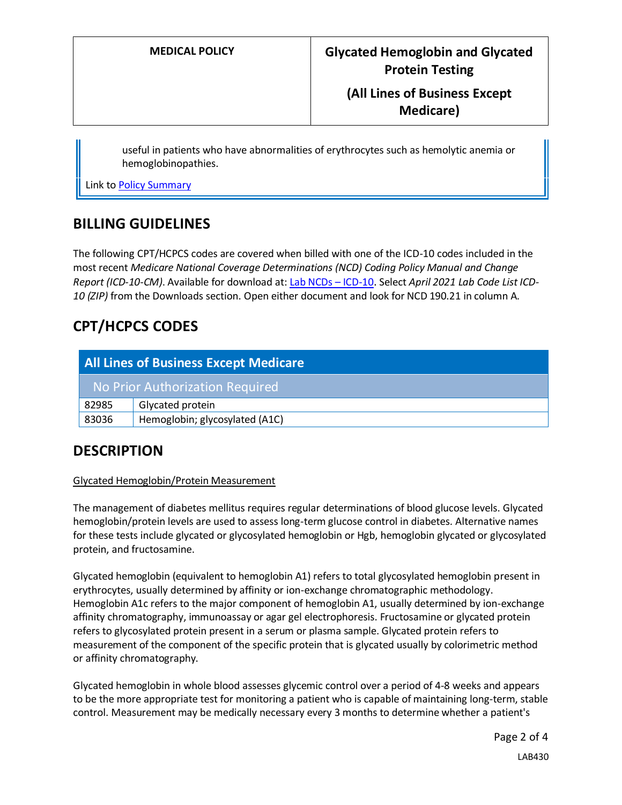### **(All Lines of Business Except Medicare)**

useful in patients who have abnormalities of erythrocytes such as hemolytic anemia or hemoglobinopathies.

Link t[o Policy Summary](#page-2-0)

#### **BILLING GUIDELINES**

The following CPT/HCPCS codes are covered when billed with one of the ICD-10 codes included in the most recent *Medicare National Coverage Determinations (NCD) Coding Policy Manual and Change Report (ICD-10-CM)*. Available for download at: [Lab NCDs](https://www.cms.gov/Medicare/Coverage/CoverageGenInfo/LabNCDsICD10) – ICD-10. Select *April 2021 Lab Code List ICD-10 (ZIP)* from the Downloads section. Open either document and look for NCD 190.21 in column A.

## **CPT/HCPCS CODES**

| <b>All Lines of Business Except Medicare</b> |                                |
|----------------------------------------------|--------------------------------|
| No Prior Authorization Required              |                                |
| 82985                                        | Glycated protein               |
| 83036                                        | Hemoglobin; glycosylated (A1C) |

### **DESCRIPTION**

#### Glycated Hemoglobin/Protein Measurement

The management of diabetes mellitus requires regular determinations of blood glucose levels. Glycated hemoglobin/protein levels are used to assess long-term glucose control in diabetes. Alternative names for these tests include glycated or glycosylated hemoglobin or Hgb, hemoglobin glycated or glycosylated protein, and fructosamine.

Glycated hemoglobin (equivalent to hemoglobin A1) refers to total glycosylated hemoglobin present in erythrocytes, usually determined by affinity or ion-exchange chromatographic methodology. Hemoglobin A1c refers to the major component of hemoglobin A1, usually determined by ion-exchange affinity chromatography, immunoassay or agar gel electrophoresis. Fructosamine or glycated protein refers to glycosylated protein present in a serum or plasma sample. Glycated protein refers to measurement of the component of the specific protein that is glycated usually by colorimetric method or affinity chromatography.

Glycated hemoglobin in whole blood assesses glycemic control over a period of 4-8 weeks and appears to be the more appropriate test for monitoring a patient who is capable of maintaining long-term, stable control. Measurement may be medically necessary every 3 months to determine whether a patient's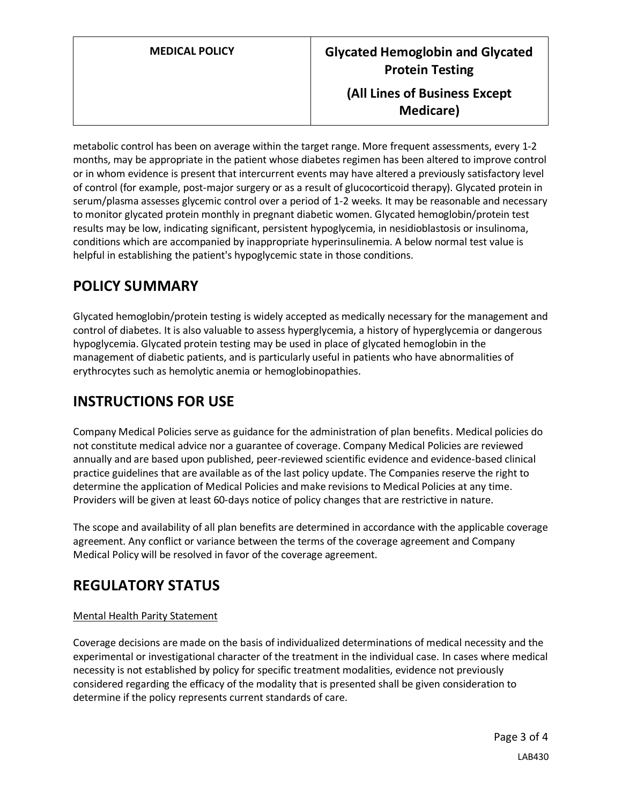metabolic control has been on average within the target range. More frequent assessments, every 1-2 months, may be appropriate in the patient whose diabetes regimen has been altered to improve control or in whom evidence is present that intercurrent events may have altered a previously satisfactory level of control (for example, post-major surgery or as a result of glucocorticoid therapy). Glycated protein in serum/plasma assesses glycemic control over a period of 1-2 weeks. It may be reasonable and necessary to monitor glycated protein monthly in pregnant diabetic women. Glycated hemoglobin/protein test results may be low, indicating significant, persistent hypoglycemia, in nesidioblastosis or insulinoma, conditions which are accompanied by inappropriate hyperinsulinemia. A below normal test value is helpful in establishing the patient's hypoglycemic state in those conditions.

## <span id="page-2-0"></span>**POLICY SUMMARY**

Glycated hemoglobin/protein testing is widely accepted as medically necessary for the management and control of diabetes. It is also valuable to assess hyperglycemia, a history of hyperglycemia or dangerous hypoglycemia. Glycated protein testing may be used in place of glycated hemoglobin in the management of diabetic patients, and is particularly useful in patients who have abnormalities of erythrocytes such as hemolytic anemia or hemoglobinopathies.

# **INSTRUCTIONS FOR USE**

Company Medical Policies serve as guidance for the administration of plan benefits. Medical policies do not constitute medical advice nor a guarantee of coverage. Company Medical Policies are reviewed annually and are based upon published, peer-reviewed scientific evidence and evidence-based clinical practice guidelines that are available as of the last policy update. The Companies reserve the right to determine the application of Medical Policies and make revisions to Medical Policies at any time. Providers will be given at least 60-days notice of policy changes that are restrictive in nature.

The scope and availability of all plan benefits are determined in accordance with the applicable coverage agreement. Any conflict or variance between the terms of the coverage agreement and Company Medical Policy will be resolved in favor of the coverage agreement.

# **REGULATORY STATUS**

#### Mental Health Parity Statement

Coverage decisions are made on the basis of individualized determinations of medical necessity and the experimental or investigational character of the treatment in the individual case. In cases where medical necessity is not established by policy for specific treatment modalities, evidence not previously considered regarding the efficacy of the modality that is presented shall be given consideration to determine if the policy represents current standards of care.